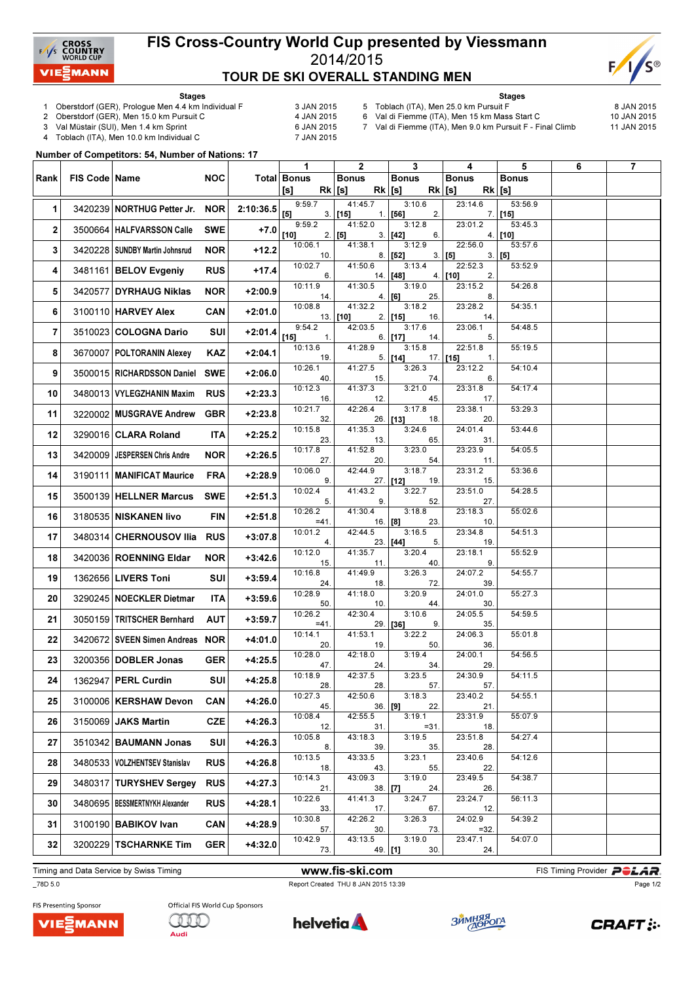

## FIS Cross-Country World Cup presented by Viessmann 2014/2015 TOUR DE SKI OVERALL STANDING MEN



Stages

- 1 Oberstdorf (GER), Prologue Men 4.4 km Individual F 3 JAN 2015<br>2 Oberstdorf (GER), Men 15.0 km Pursuit C 4 JAN 2015
- 2 Oberstdorf (GER), Men 15.0 km Pursuit C

- 3 Val Müstair (SUI), Men 1.4 km Sprint 6 JAN 2015<br>4 Toblach (ITA), Men 10.0 km Individual C 6 7 JAN 2015 Toblach (ITA), Men 10.0 km Individual C
- Stages
- 5 Toblach (ITA), Men 25.0 km Pursuit F  $\sim$  8 JAN 2015<br>6 Val di Fiemme (ITA), Men 15 km Mass Start C 10 JAN 2015 6 Val di Fiemme (ITA), Men 15 km Mass Start C

7 Val di Fiemme (ITA), Men 9.0 km Pursuit F - Final Climb 11 JAN 2015

Number of Competitors: 54, Number of Nations: 17

| Total Bonus<br>Rank<br>FIS Code   Name<br><b>NOC</b><br><b>Bonus</b><br><b>Bonus</b><br><b>Bonus</b><br><b>Bonus</b><br>$Rk$ [s]<br>$Rk$ [s]<br>$Rk$ [s]<br>$Rk$ [s]<br>[s]<br>9:59.7<br>41:45.7<br>3:10.6<br>23:14.6<br>53:56.9<br>3420239 NORTHUG Petter Jr.<br>1<br><b>NOR</b><br>2:10:36.5<br>$[5]$<br>$3.$ [15]<br>$1.$ [56]<br>2.<br>$7.$ [15]<br>9:59.2<br>41:52.0<br>3:12.8<br>23:01.2<br>53:45.3 |  |
|-----------------------------------------------------------------------------------------------------------------------------------------------------------------------------------------------------------------------------------------------------------------------------------------------------------------------------------------------------------------------------------------------------------|--|
|                                                                                                                                                                                                                                                                                                                                                                                                           |  |
|                                                                                                                                                                                                                                                                                                                                                                                                           |  |
|                                                                                                                                                                                                                                                                                                                                                                                                           |  |
| 3500664   HALFVARSSON Calle<br>$\mathbf{2}$<br><b>SWE</b><br>$+7.0$<br>$[10]$<br>$2.$ [5]<br>$3.$ [42]<br>$4.$ [10]<br>6.<br>10:06.1<br>41:38.1<br>3:12.9<br>22:56.0<br>53:57.6                                                                                                                                                                                                                           |  |
| 3<br>3420228   SUNDBY Martin Johnsrud<br><b>NOR</b><br>+12.2<br>8.   [52]<br>3.   [5]<br>$3.$ [5]<br>10.                                                                                                                                                                                                                                                                                                  |  |
| 10:02.7<br>41:50.6<br>3:13.4<br>22:52.3<br>53:52.9<br>3481161 BELOV Evgeniy<br><b>RUS</b><br>+17.4<br>4<br>2.<br>6.<br>14. [48]<br>$4.$ [10]                                                                                                                                                                                                                                                              |  |
| 41:30.5<br>3:19.0<br>23:15.2<br>10:11.9<br>54:26.8<br>5<br>3420577 DYRHAUG Niklas<br><b>NOR</b><br>$+2:00.9$<br>25.<br>8.<br>14.<br>4.   [6]                                                                                                                                                                                                                                                              |  |
| 10:08.8<br>41:32.2<br>3:18.2<br>23:28.2<br>54:35.1<br>6<br>3100110 HARVEY Alex<br><b>CAN</b><br>$+2:01.0$<br>$2.$ [15]<br>$13.$ [10]<br>16.<br>14.                                                                                                                                                                                                                                                        |  |
| 9:54.2<br>23:06.1<br>42:03.5<br>3:17.6<br>54:48.5<br>$\overline{7}$<br>$+2:01.4$<br>3510023 COLOGNA Dario<br>SUI<br>$[15]$<br>6. <b>[17]</b><br>5.<br>14.<br>1.                                                                                                                                                                                                                                           |  |
| 22:51.8<br>10:13.6<br>41:28.9<br>3:15.8<br>55:19.5<br>3670007   POLTORANIN Alexey<br>8<br>KAZ<br>$+2:04.1$<br>$5.$ [14]<br>$17.$ [15]<br>19.<br>1.                                                                                                                                                                                                                                                        |  |
| 10:26.1<br>41:27.5<br>3:26.3<br>23:12.2<br>54:10.4<br>3500015 RICHARDSSON Daniel<br>$+2:06.0$<br>9<br><b>SWE</b><br>6.<br>40.<br>15.<br>74.                                                                                                                                                                                                                                                               |  |
| 10:12.3<br>41:37.3<br>3:21.0<br>23:31.8<br>54:17.4<br>$+2:23.3$<br>10<br>3480013   VYLEGZHANIN Maxim<br><b>RUS</b><br>45.<br>16.<br>12.<br>17.                                                                                                                                                                                                                                                            |  |
| 10:21.7<br>42:26.4<br>3:17.8<br>23:38.1<br>53:29.3<br>$+2:23.8$<br>11<br>3220002 MUSGRAVE Andrew<br><b>GBR</b><br>26. [13]<br>32.<br>18.<br>20.                                                                                                                                                                                                                                                           |  |
| 10:15.8<br>41:35.3<br>24:01.4<br>3:24.6<br>53:44.6<br>12<br>$+2:25.2$<br>3290016 CLARA Roland<br>ITA<br>23.<br>65.<br>31.<br>13.                                                                                                                                                                                                                                                                          |  |
| 10:17.8<br>41:52.8<br>3:23.0<br>23:23.9<br>54:05.5<br>$+2:26.5$<br>13<br>3420009   JESPERSEN Chris Andre<br><b>NOR</b><br>27.<br>20.<br>54.<br>11.                                                                                                                                                                                                                                                        |  |
| 42:44.9<br>10:06.0<br>3:18.7<br>23:31.2<br>53:36.6<br>14<br>3190111   MANIFICAT Maurice<br><b>FRA</b><br>$+2:28.9$<br>$27.$ [12]<br>9.<br>19.<br>15.                                                                                                                                                                                                                                                      |  |
| 10:02.4<br>3:22.7<br>23:51.0<br>41:43.2<br>54:28.5<br>3500139   HELLNER Marcus<br><b>SWE</b><br>$+2:51.3$<br>15<br>5.<br>9.<br>52.<br>27.                                                                                                                                                                                                                                                                 |  |
| 10:26.2<br>41:30.4<br>3:18.8<br>23:18.3<br>55:02.6<br>16<br>3180535 NISKANEN livo<br><b>FIN</b><br>$+2:51.8$<br>16. [8]<br>23.<br>10.<br>$=41.$                                                                                                                                                                                                                                                           |  |
| 10:01.2<br>42:44.5<br>3:16.5<br>23:34.8<br>54:51.3<br>3480314 CHERNOUSOV Ilia<br><b>RUS</b><br>$+3:07.8$<br>17<br>19.<br>$23.$ [44]<br>5.<br>4.                                                                                                                                                                                                                                                           |  |
| 10:12.0<br>41:35.7<br>3:20.4<br>23:18.1<br>55:52.9<br>18<br>3420036 ROENNING Eldar<br>$+3:42.6$<br>NOR<br>15.<br>11.<br>40.<br>9.                                                                                                                                                                                                                                                                         |  |
| 41:49.9<br>24:07.2<br>10:16.8<br>3:26.3<br>54:55.7<br>19<br>1362656 LIVERS Toni<br>SUI<br>$+3:59.4$<br>72.<br>18.<br>39.<br>24.                                                                                                                                                                                                                                                                           |  |
| 10:28.9<br>41:18.0<br>24:01.0<br>3:20.9<br>55:27.3<br>20<br>3290245   NOECKLER Dietmar<br>ITA<br>$+3:59.6$<br>50.<br>44.<br>30.<br>10.                                                                                                                                                                                                                                                                    |  |
| 42:30.4<br>10:26.2<br>3:10.6<br>24:05.5<br>54:59.5<br>21<br>3050159 TRITSCHER Bernhard<br><b>AUT</b><br>$+3:59.7$<br>$29.$ [36]<br>9.<br>35.<br>$=41.$                                                                                                                                                                                                                                                    |  |
| 41:53.1<br>24:06.3<br>10:14.1<br>3:22.2<br>55:01.8<br>$+4:01.0$<br>22<br>3420672 SVEEN Simen Andreas NOR<br>20.<br>19.<br>50.<br>36.                                                                                                                                                                                                                                                                      |  |
| 10:28.0<br>42:18.0<br>3:19.4<br>24:00.1<br>54:56.5<br>23<br>3200356 DOBLER Jonas<br><b>GER</b><br>$+4:25.5$<br>47.<br>24.<br>34.<br>29.                                                                                                                                                                                                                                                                   |  |
| 42:37.5<br>3:23.5<br>10:18.9<br>24:30.9<br>54:11.5<br>1362947 PERL Curdin<br>$+4:25.8$<br>24<br><b>SUI</b><br>28.<br>28.<br>57.<br>57.                                                                                                                                                                                                                                                                    |  |
| 10:27.3<br>42:50.6<br>3:18.3<br>23:40.2<br>54:55.1<br>25<br>3100006   KERSHAW Devon<br>+4:26.0<br><b>CAN</b><br>$36.$ [9]<br>45.<br>22.<br>21.                                                                                                                                                                                                                                                            |  |
| 10:08.4<br>42:55.5<br>3:19.1<br>23:31.9<br>55:07.9<br>26<br>3150069 JAKS Martin<br><b>CZE</b><br>$+4:26.3$<br>12.<br>31.<br>$= 31.$<br>18.                                                                                                                                                                                                                                                                |  |
| 10:05.8<br>43:18.3<br>3:19.5<br>23:51.8<br>54:27.4<br>3510342 BAUMANN Jonas<br>27<br>SUI<br>$+4:26.3$<br>35.<br>8.<br>39.<br>28.                                                                                                                                                                                                                                                                          |  |
| 10:13.5<br>43:33.5<br>3:23.1<br>23:40.6<br>54:12.6<br>28<br>3480533 VOLZHENTSEV Stanislav<br><b>RUS</b><br>$+4:26.8$<br>55.<br>18.<br>43.<br>22.                                                                                                                                                                                                                                                          |  |
| 10:14.3<br>43:09.3<br>3:19.0<br>23:49.5<br>54:38.7<br>3480317 TURYSHEV Sergey<br>29<br><b>RUS</b><br>$+4:27.3$<br>$38.$ [7]<br>21.<br>24.<br>26.                                                                                                                                                                                                                                                          |  |
| 23:24.7<br>10:22.6<br>41:41.3<br>3:24.7<br>56:11.3<br>3480695   BESSMERTNYKH Alexander<br>30<br>$+4:28.1$<br><b>RUS</b><br>17.<br>67.<br>12.<br>33.                                                                                                                                                                                                                                                       |  |
| 10:30.8<br>3:26.3<br>24:02.9<br>42:26.2<br>54:39.2<br>31<br>3100190 BABIKOV Ivan<br><b>CAN</b><br>$+4:28.9$<br>$=32.$<br>57.<br>30.<br>73.                                                                                                                                                                                                                                                                |  |
| 10:42.9<br>43:13.5<br>3:19.0<br>23:47.1<br>54:07.0<br>32<br>3200229 TSCHARNKE Tim<br><b>GER</b><br>$+4:32.0$<br>49. <b>[1]</b><br>30.<br>24.<br>73.                                                                                                                                                                                                                                                       |  |

Timing and Data Service by Swiss Timing **Example 20 and Service by Swiss Timing Provider PCLAR** 

\_78D 5.0 Report Created THU 8 JAN 2015 13:39

Page 1/2